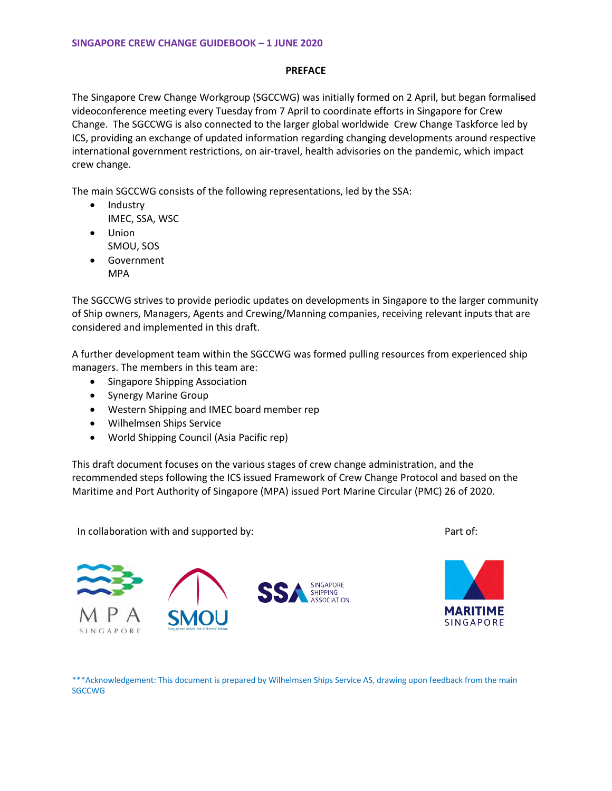### **PREFACE**

The Singapore Crew Change Workgroup (SGCCWG) was initially formed on 2 April, but began formalised videoconference meeting every Tuesday from 7 April to coordinate efforts in Singapore for Crew Change. The SGCCWG is also connected to the larger global worldwide Crew Change Taskforce led by ICS, providing an exchange of updated information regarding changing developments around respective international government restrictions, on air-travel, health advisories on the pandemic, which impact crew change.

The main SGCCWG consists of the following representations, led by the SSA:

- Industry IMEC, SSA, WSC
- Union SMOU, SOS
- Government
	- MPA

The SGCCWG strives to provide periodic updates on developments in Singapore to the larger community of Ship owners, Managers, Agents and Crewing/Manning companies, receiving relevant inputs that are considered and implemented in this draft.

A further development team within the SGCCWG was formed pulling resources from experienced ship managers. The members in this team are:

- Singapore Shipping Association
- Synergy Marine Group
- Western Shipping and IMEC board member rep
- Wilhelmsen Ships Service
- World Shipping Council (Asia Pacific rep)

This draft document focuses on the various stages of crew change administration, and the recommended steps following the ICS issued Framework of Crew Change Protocol and based on the Maritime and Port Authority of Singapore (MPA) issued Port Marine Circular (PMC) 26 of 2020.

In collaboration with and supported by:

Part of:





\*\*\*Acknowledgement: This document is prepared by Wilhelmsen Ships Service AS, drawing upon feedback from the main **SGCCWG**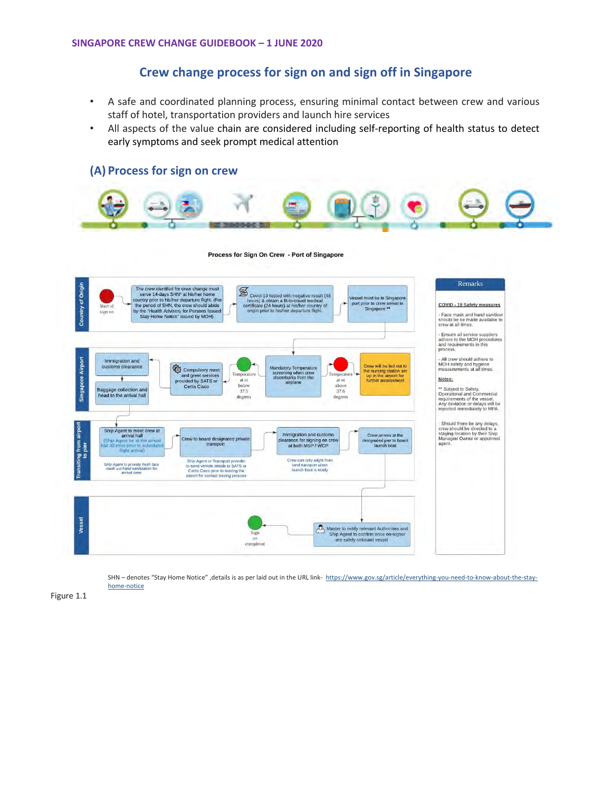# **Crew change process for sign on and sign off in Singapore**

- A safe and coordinated planning process, ensuring minimal contact between crew and various staff of hotel, transportation providers and launch hire services
- All aspects of the value chain are considered including self-reporting of health status to detect early symptoms and seek prompt medical attention



SHN - denotes "Stay Home Notice", details is as per laid out in the URL link- https://www.gov.sg/article/everything-you-need-to-know-about-the-stayhome-notice

Figure 1.1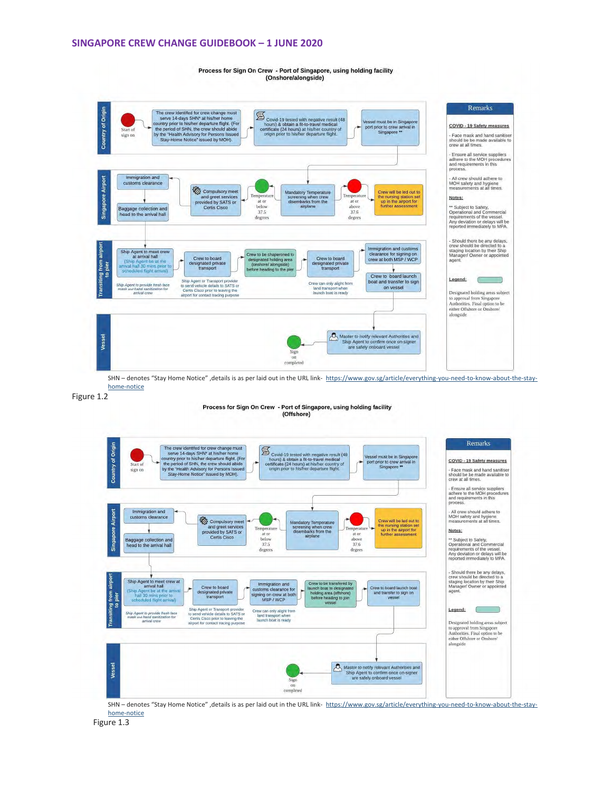#### **SINGAPORE CREW CHANGE GUIDEBOOK – 1 JUNE 2020**

Process for Sign On Crew - Port of Singapore, using holding facility (Onshore/alongside)



Figure 1.2

Process for Sign On Crew - Port of Singapore, using holding facility (Offshore)



SHN - denotes "Stay Home Notice", details is as per laid out in the URL link- https://www.gov.sg/article/everything-you-need-to-know-about-the-stayhome-notice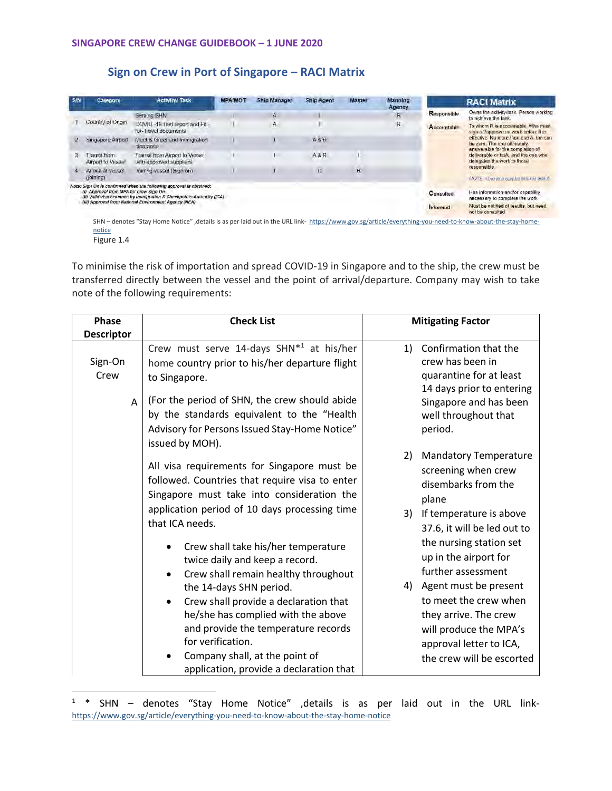## **Sign on Crew in Port of Singapore – RACI Matrix**

| S/N | Calegory                               | <b>Activity/Task</b>                                                                                                                         | <b>MPA/MOT</b> | <b>Ship Manager</b> | <b>Ship Agent</b> | <b>Master</b> | Manning<br>Agency |                  | <b>RACI Matrix</b>                                                                                                                                                                                                                    |
|-----|----------------------------------------|----------------------------------------------------------------------------------------------------------------------------------------------|----------------|---------------------|-------------------|---------------|-------------------|------------------|---------------------------------------------------------------------------------------------------------------------------------------------------------------------------------------------------------------------------------------|
|     |                                        | Serving SHN                                                                                                                                  |                | Ā                   |                   |               | R                 | Responsible      | Owns the activity/task. Person working<br>to achieve the task.                                                                                                                                                                        |
|     | Country of Origin.                     | COVID-19 Test report and Fit-<br>for-travel documents                                                                                        |                | А                   |                   |               | R                 | Accountable      | To whom R is accountable. Who must<br>sign off/approve on work before it is                                                                                                                                                           |
|     | Singapore Airport                      | Meet & Greet and Immigration<br>clearance                                                                                                    |                |                     | <b>A6A</b>        |               |                   |                  | effective. No more than one A but can<br>be zero. The one ultimately<br>answerable for the completion of<br>deliverable or task and the one who<br>delegates the work to those<br>responsible<br>MOTE Cive intercan he colly Pland is |
| з   | Transit from<br>Airport to Vesset      | Transil from Airport to Vessel<br>with approved suppliers                                                                                    |                |                     | A&R               |               |                   |                  |                                                                                                                                                                                                                                       |
|     | Arrival at Vessel<br>(joiming)         | Joimng vessel (Sign on)                                                                                                                      |                |                     | Ċ.                | R             |                   |                  |                                                                                                                                                                                                                                       |
|     | (i) Approval from MPA for crew Sign On | Note: Sign On is confirmed when the following approval is obtained:<br>(ii) Valid visa issuance by Immigration & Checkpoints Authority (ICA) |                |                     |                   |               |                   | <b>Consulted</b> | Has information and/or capability<br>necessary to complete the work                                                                                                                                                                   |
|     |                                        | (iii) Approval from National Environment Agency (NEA)                                                                                        |                |                     |                   |               |                   | Informed         | Must be notified of results, but need<br>not be consulted                                                                                                                                                                             |

notice Figure 1.4

To minimise the risk of importation and spread COVID-19 in Singapore and to the ship, the crew must be transferred directly between the vessel and the point of arrival/departure. Company may wish to take note of the following requirements:

| <b>Phase</b>         | <b>Check List</b>                                                                                                                                                                                                                                                                                                                                                                                                                                                                                                                                                                                | <b>Mitigating Factor</b>                                                                                                                                                                                                                                                                                                                                                                            |  |  |  |
|----------------------|--------------------------------------------------------------------------------------------------------------------------------------------------------------------------------------------------------------------------------------------------------------------------------------------------------------------------------------------------------------------------------------------------------------------------------------------------------------------------------------------------------------------------------------------------------------------------------------------------|-----------------------------------------------------------------------------------------------------------------------------------------------------------------------------------------------------------------------------------------------------------------------------------------------------------------------------------------------------------------------------------------------------|--|--|--|
| <b>Descriptor</b>    |                                                                                                                                                                                                                                                                                                                                                                                                                                                                                                                                                                                                  |                                                                                                                                                                                                                                                                                                                                                                                                     |  |  |  |
| Sign-On<br>Crew<br>A | Crew must serve 14-days SHN*1 at his/her<br>home country prior to his/her departure flight<br>to Singapore.<br>(For the period of SHN, the crew should abide<br>by the standards equivalent to the "Health<br>Advisory for Persons Issued Stay-Home Notice"<br>issued by MOH).                                                                                                                                                                                                                                                                                                                   | Confirmation that the<br>1)<br>crew has been in<br>quarantine for at least<br>14 days prior to entering<br>Singapore and has been<br>well throughout that<br>period.                                                                                                                                                                                                                                |  |  |  |
|                      | All visa requirements for Singapore must be<br>followed. Countries that require visa to enter<br>Singapore must take into consideration the<br>application period of 10 days processing time<br>that ICA needs.<br>Crew shall take his/her temperature<br>twice daily and keep a record.<br>Crew shall remain healthy throughout<br>the 14-days SHN period.<br>Crew shall provide a declaration that<br>$\bullet$<br>he/she has complied with the above<br>and provide the temperature records<br>for verification.<br>Company shall, at the point of<br>application, provide a declaration that | 2)<br><b>Mandatory Temperature</b><br>screening when crew<br>disembarks from the<br>plane<br>3)<br>If temperature is above<br>37.6, it will be led out to<br>the nursing station set<br>up in the airport for<br>further assessment<br>4) Agent must be present<br>to meet the crew when<br>they arrive. The crew<br>will produce the MPA's<br>approval letter to ICA,<br>the crew will be escorted |  |  |  |

<sup>&</sup>lt;sup>1</sup> \* SHN – denotes "Stay Home Notice" ,details is as per laid out in the URL linkhttps://www.gov.sg/article/everything-you-need-to-know-about-the-stay-home-notice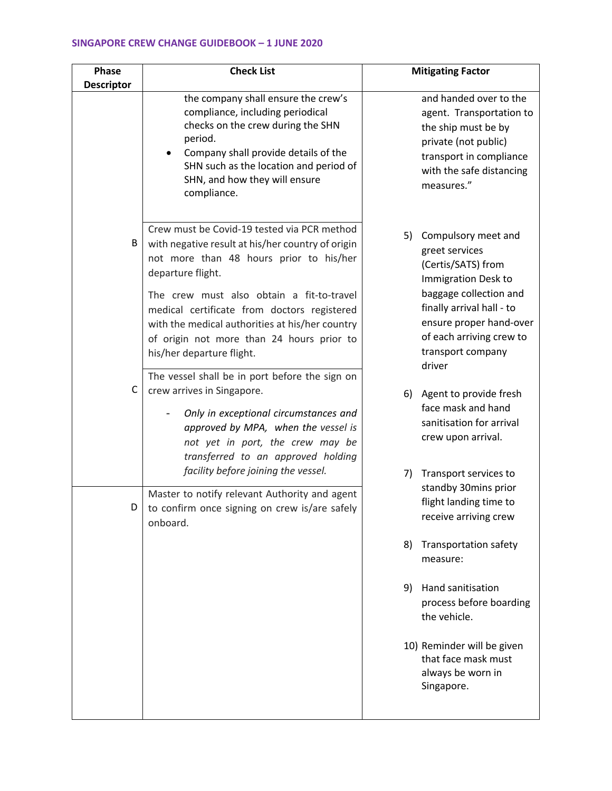## **SINGAPORE CREW CHANGE GUIDEBOOK – 1 JUNE 2020**

| Phase<br><b>Descriptor</b> | <b>Check List</b>                                                                                                                                                                                                                                                                                                                                                                                                                           | <b>Mitigating Factor</b>                                                                                                                                                                                                              |  |  |  |
|----------------------------|---------------------------------------------------------------------------------------------------------------------------------------------------------------------------------------------------------------------------------------------------------------------------------------------------------------------------------------------------------------------------------------------------------------------------------------------|---------------------------------------------------------------------------------------------------------------------------------------------------------------------------------------------------------------------------------------|--|--|--|
|                            | the company shall ensure the crew's<br>compliance, including periodical<br>checks on the crew during the SHN<br>period.<br>Company shall provide details of the<br>SHN such as the location and period of<br>SHN, and how they will ensure<br>compliance.                                                                                                                                                                                   | and handed over to the<br>agent. Transportation to<br>the ship must be by<br>private (not public)<br>transport in compliance<br>with the safe distancing<br>measures."                                                                |  |  |  |
| В                          | Crew must be Covid-19 tested via PCR method<br>with negative result at his/her country of origin<br>not more than 48 hours prior to his/her<br>departure flight.<br>The crew must also obtain a fit-to-travel<br>medical certificate from doctors registered<br>with the medical authorities at his/her country<br>of origin not more than 24 hours prior to<br>his/her departure flight.<br>The vessel shall be in port before the sign on | 5)<br>Compulsory meet and<br>greet services<br>(Certis/SATS) from<br>Immigration Desk to<br>baggage collection and<br>finally arrival hall - to<br>ensure proper hand-over<br>of each arriving crew to<br>transport company<br>driver |  |  |  |
| C                          | crew arrives in Singapore.<br>Only in exceptional circumstances and<br>approved by MPA, when the vessel is<br>not yet in port, the crew may be<br>transferred to an approved holding                                                                                                                                                                                                                                                        | Agent to provide fresh<br>6)<br>face mask and hand<br>sanitisation for arrival<br>crew upon arrival.                                                                                                                                  |  |  |  |
| D                          | facility before joining the vessel.<br>Master to notify relevant Authority and agent<br>to confirm once signing on crew is/are safely<br>onboard.                                                                                                                                                                                                                                                                                           | Transport services to<br>7)<br>standby 30mins prior<br>flight landing time to<br>receive arriving crew                                                                                                                                |  |  |  |
|                            |                                                                                                                                                                                                                                                                                                                                                                                                                                             | <b>Transportation safety</b><br>8)<br>measure:                                                                                                                                                                                        |  |  |  |
|                            |                                                                                                                                                                                                                                                                                                                                                                                                                                             | Hand sanitisation<br>9)<br>process before boarding<br>the vehicle.                                                                                                                                                                    |  |  |  |
|                            |                                                                                                                                                                                                                                                                                                                                                                                                                                             | 10) Reminder will be given<br>that face mask must<br>always be worn in<br>Singapore.                                                                                                                                                  |  |  |  |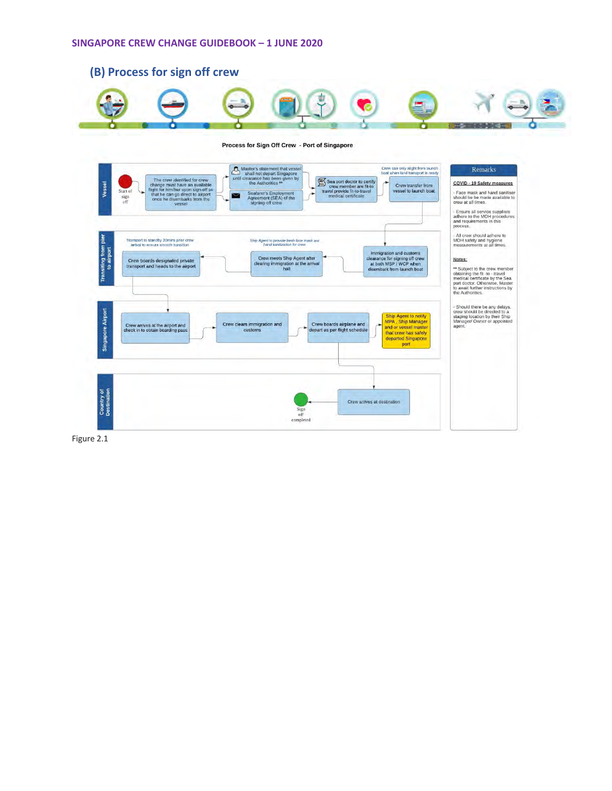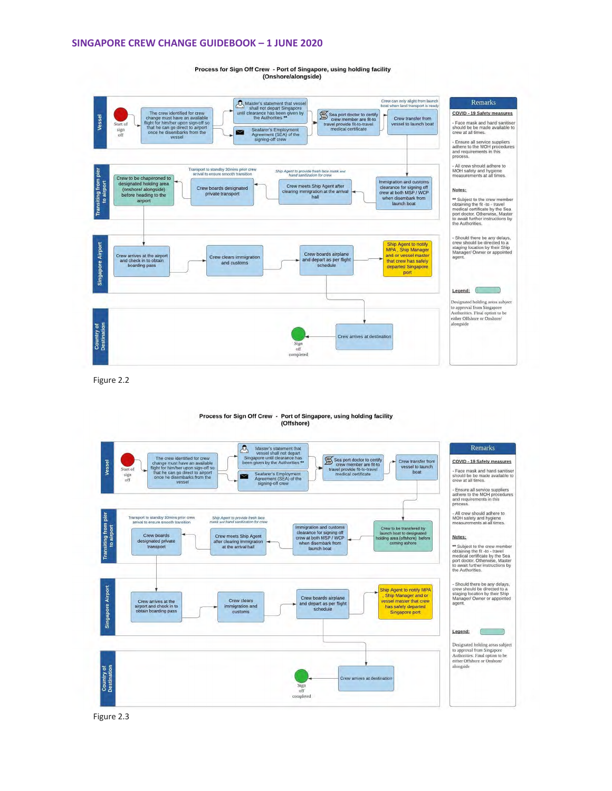#### **SINGAPORE CREW CHANGE GUIDEBOOK – 1 JUNE 2020**

Process for Sign Off Crew - Port of Singapore, using holding facility (Onshore/alongside)



Figure 2.2

# Process for Sign Off Crew - Port of Singapore, using holding facility<br>(Offshore)



Figure 2.3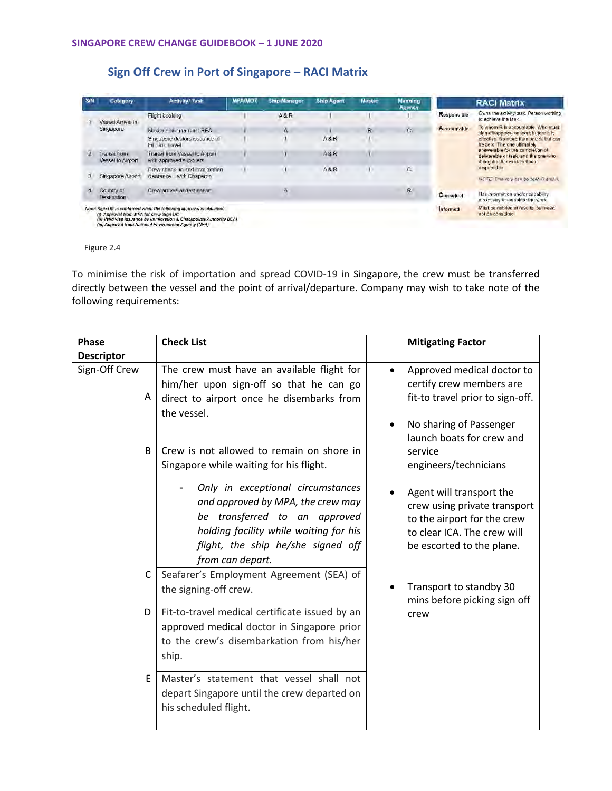## **Sign Off Crew in Port of Singapore – RACI Matrix**

| <b>S/N</b> | Category                                 | <b>Activity/ Task</b>                                                                                                                                                                                  | mpaimot | <b>Ship Manager</b> | <b>Ship Agent</b> | Master | <b>Manning</b><br>Apency |                                                                                     | <b>RACI Matrix</b>                                                                                                                                                                                                                   |
|------------|------------------------------------------|--------------------------------------------------------------------------------------------------------------------------------------------------------------------------------------------------------|---------|---------------------|-------------------|--------|--------------------------|-------------------------------------------------------------------------------------|--------------------------------------------------------------------------------------------------------------------------------------------------------------------------------------------------------------------------------------|
|            | Vessel Arrival in                        | Flight booking                                                                                                                                                                                         |         | <b>A&amp;R</b>      |                   |        |                          | Responsible                                                                         | Owns the activity/task. Person working<br>to achieve the task.                                                                                                                                                                       |
|            | Singapore                                | Master statement and SEA                                                                                                                                                                               |         | $\mathbf{A}$        |                   | R      | C.                       | Accountable<br>sign of /approve on work before it is<br>be zero. The one ultimately | To whom R is accountable. Who must                                                                                                                                                                                                   |
|            |                                          | Singapore doctors issuance of<br>Fil - for- travel                                                                                                                                                     |         |                     | A8R               |        |                          |                                                                                     | effective No more than one A but can                                                                                                                                                                                                 |
| Q          | Transit from<br>Vessel to Almort         | Transil from Vessel to Ameri<br>with approved suppliers.                                                                                                                                               |         |                     | A&R               |        |                          |                                                                                     | answerable for the completion of<br>deliverable or lask, and the one who<br>delegates the work to those<br>responsible.<br>NOTE: Dhe role can be auto B and y<br>Has information and/or capability<br>necessary to complete the work |
|            | Singapore Airport                        | Crew check- in and immigration<br>clearance - with Chaperon                                                                                                                                            |         |                     | A&R               |        | c.                       |                                                                                     |                                                                                                                                                                                                                                      |
|            | Country of<br>Destination                | Crew arrives at destination                                                                                                                                                                            |         | A                   |                   |        | R                        | Consulted                                                                           |                                                                                                                                                                                                                                      |
|            | (i) Approval from MPA for crew Sign Off. | Note: Sign Off is confirmed when the following approval is obtained;<br>(ii) Valid visa issuance by Immigration & Checkpoints Authority (ICA)<br>(iii) Approval from National Environment Agency (NEA) |         |                     |                   |        |                          | <b>Informed</b>                                                                     | Must be notified of results, but need<br>not be consulted                                                                                                                                                                            |

Figure 2.4

To minimise the risk of importation and spread COVID-19 in Singapore, the crew must be transferred directly between the vessel and the point of arrival/departure. Company may wish to take note of the following requirements:

| <b>Phase</b><br><b>Descriptor</b> | <b>Check List</b>                                                                                                                                                                                           | <b>Mitigating Factor</b>                                                                                                                            |
|-----------------------------------|-------------------------------------------------------------------------------------------------------------------------------------------------------------------------------------------------------------|-----------------------------------------------------------------------------------------------------------------------------------------------------|
| Sign-Off Crew<br>A                | The crew must have an available flight for<br>him/her upon sign-off so that he can go<br>direct to airport once he disembarks from<br>the vessel.                                                           | Approved medical doctor to<br>certify crew members are<br>fit-to travel prior to sign-off.<br>No sharing of Passenger<br>launch boats for crew and  |
| B                                 | Crew is not allowed to remain on shore in<br>Singapore while waiting for his flight.                                                                                                                        | service<br>engineers/technicians                                                                                                                    |
|                                   | Only in exceptional circumstances<br>and approved by MPA, the crew may<br>be transferred to an approved<br>holding facility while waiting for his<br>flight, the ship he/she signed off<br>from can depart. | Agent will transport the<br>crew using private transport<br>to the airport for the crew<br>to clear ICA. The crew will<br>be escorted to the plane. |
| C                                 | Seafarer's Employment Agreement (SEA) of<br>the signing-off crew.                                                                                                                                           | Transport to standby 30<br>mins before picking sign off                                                                                             |
| D                                 | Fit-to-travel medical certificate issued by an<br>approved medical doctor in Singapore prior<br>to the crew's disembarkation from his/her<br>ship.                                                          | crew                                                                                                                                                |
| E                                 | Master's statement that vessel shall not<br>depart Singapore until the crew departed on<br>his scheduled flight.                                                                                            |                                                                                                                                                     |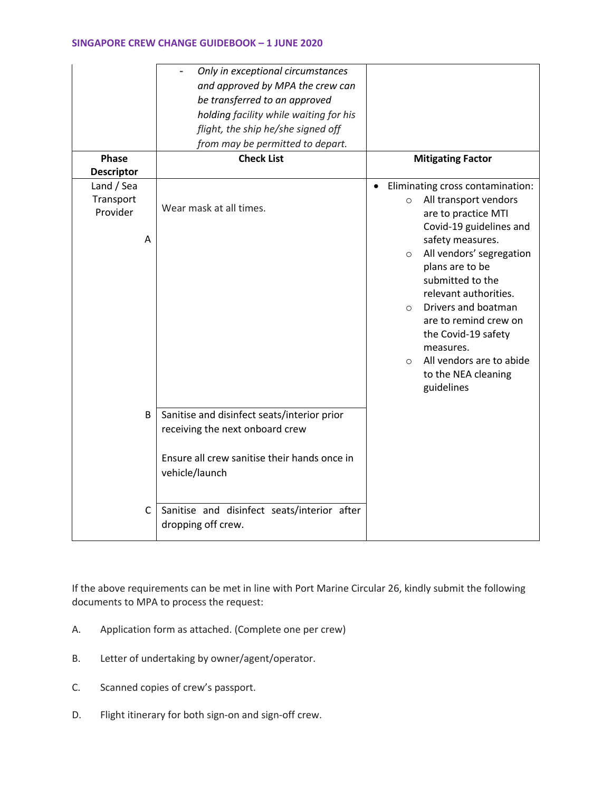|                                          | Only in exceptional circumstances<br>and approved by MPA the crew can<br>be transferred to an approved<br>holding facility while waiting for his<br>flight, the ship he/she signed off<br>from may be permitted to depart. |                                                                                                                                                                                                                                                                                                                                                                                                                                           |
|------------------------------------------|----------------------------------------------------------------------------------------------------------------------------------------------------------------------------------------------------------------------------|-------------------------------------------------------------------------------------------------------------------------------------------------------------------------------------------------------------------------------------------------------------------------------------------------------------------------------------------------------------------------------------------------------------------------------------------|
| <b>Phase</b><br><b>Descriptor</b>        | <b>Check List</b>                                                                                                                                                                                                          | <b>Mitigating Factor</b>                                                                                                                                                                                                                                                                                                                                                                                                                  |
| Land / Sea<br>Transport<br>Provider<br>A | Wear mask at all times.                                                                                                                                                                                                    | Eliminating cross contamination:<br>$\bullet$<br>All transport vendors<br>$\circ$<br>are to practice MTI<br>Covid-19 guidelines and<br>safety measures.<br>All vendors' segregation<br>$\circ$<br>plans are to be<br>submitted to the<br>relevant authorities.<br>Drivers and boatman<br>$\circ$<br>are to remind crew on<br>the Covid-19 safety<br>measures.<br>All vendors are to abide<br>$\circ$<br>to the NEA cleaning<br>guidelines |
| B                                        | Sanitise and disinfect seats/interior prior<br>receiving the next onboard crew<br>Ensure all crew sanitise their hands once in<br>vehicle/launch                                                                           |                                                                                                                                                                                                                                                                                                                                                                                                                                           |
| C                                        | Sanitise and disinfect seats/interior after<br>dropping off crew.                                                                                                                                                          |                                                                                                                                                                                                                                                                                                                                                                                                                                           |

If the above requirements can be met in line with Port Marine Circular 26, kindly submit the following documents to MPA to process the request:

- A. Application form as attached. (Complete one per crew)
- B. Letter of undertaking by owner/agent/operator.
- C. Scanned copies of crew's passport.
- D. Flight itinerary for both sign-on and sign-off crew.